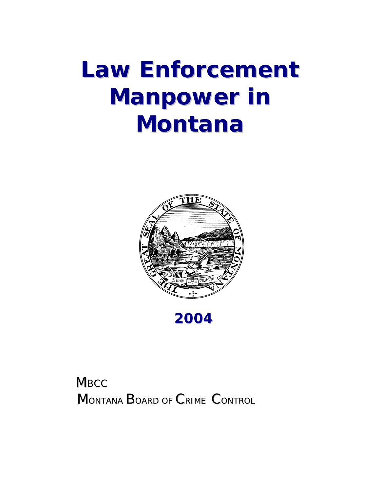# **Law Enforcement Manpower in Montana**





# **MBCC** MONTANA BOARD OF CRIME CONTROL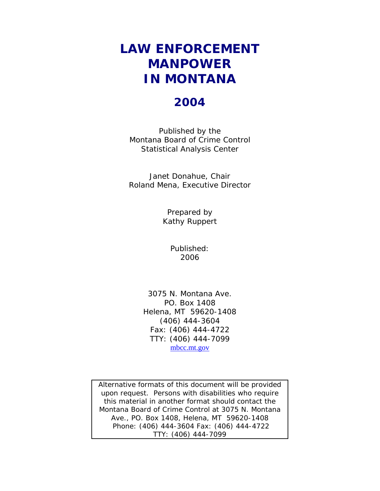## **LAW ENFORCEMENT MANPOWER IN MONTANA**

#### **2004**

Published by the Montana Board of Crime Control Statistical Analysis Center

Janet Donahue, Chair Roland Mena, Executive Director

> Prepared by Kathy Ruppert

> > Published: 2006

3075 N. Montana Ave. PO. Box 1408 Helena, MT 59620-1408 (406) 444-3604 Fax: (406) 444-4722 TTY: (406) 444-7099 mbcc.mt.gov

Alternative formats of this document will be provided upon request. Persons with disabilities who require this material in another format should contact the Montana Board of Crime Control at 3075 N. Montana Ave., PO. Box 1408, Helena, MT 59620-1408 Phone: (406) 444-3604 Fax: (406) 444-4722 TTY: (406) 444-7099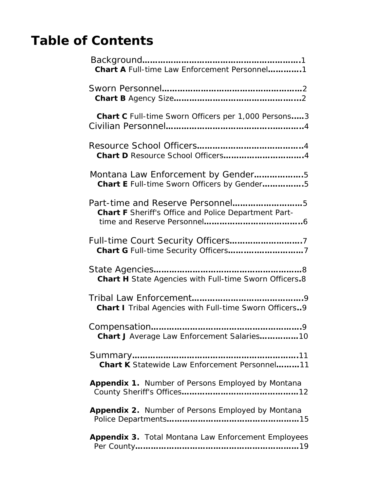# **Table of Contents**

| <b>Chart A</b> Full-time Law Enforcement Personnel1                                      |
|------------------------------------------------------------------------------------------|
|                                                                                          |
| Chart C Full-time Sworn Officers per 1,000 Persons3                                      |
|                                                                                          |
| Montana Law Enforcement by Gender5<br>Chart E Full-time Sworn Officers by Gender5        |
| Part-time and Reserve Personnel5<br>Chart F Sheriff's Office and Police Department Part- |
|                                                                                          |
| Chart H State Agencies with Full-time Sworn Officers.8                                   |
| Chart I Tribal Agencies with Full-time Sworn Officers9                                   |
| Chart J Average Law Enforcement Salaries10                                               |
| <b>Chart K</b> Statewide Law Enforcement Personnel11                                     |
| Appendix 1. Number of Persons Employed by Montana                                        |
| Appendix 2. Number of Persons Employed by Montana                                        |
| <b>Appendix 3. Total Montana Law Enforcement Employees</b>                               |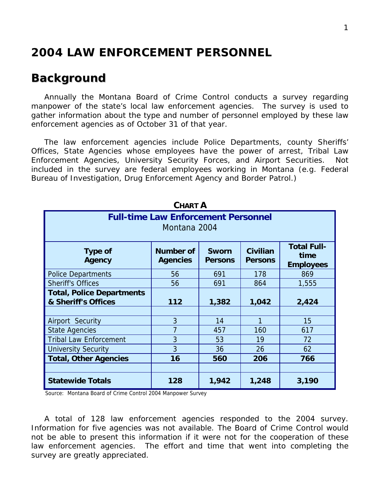#### **2004 LAW ENFORCEMENT PERSONNEL**

#### *Background*

 Annually the Montana Board of Crime Control conducts a survey regarding manpower of the state's local law enforcement agencies. The survey is used to gather information about the type and number of personnel employed by these law enforcement agencies as of October 31 of that year.

 The law enforcement agencies include Police Departments, county Sheriffs' Offices, State Agencies whose employees have the power of arrest, Tribal Law Enforcement Agencies, University Security Forces, and Airport Securities. Not included in the survey are federal employees working in Montana (e.g. Federal Bureau of Investigation, Drug Enforcement Agency and Border Patrol.)

| UMARI A                                                                                                                                                                                  |     |       |       |       |  |  |  |  |  |
|------------------------------------------------------------------------------------------------------------------------------------------------------------------------------------------|-----|-------|-------|-------|--|--|--|--|--|
| <b>Full-time Law Enforcement Personnel</b><br>Montana 2004                                                                                                                               |     |       |       |       |  |  |  |  |  |
| <b>Total Full-</b><br><b>Civilian</b><br>Number of<br><b>Type of</b><br><b>Sworn</b><br>time<br><b>Agency</b><br><b>Agencies</b><br><b>Persons</b><br><b>Persons</b><br><b>Employees</b> |     |       |       |       |  |  |  |  |  |
| <b>Police Departments</b>                                                                                                                                                                | 56  | 691   | 178   | 869   |  |  |  |  |  |
| <b>Sheriff's Offices</b>                                                                                                                                                                 | 56  | 691   | 864   | 1,555 |  |  |  |  |  |
| <b>Total, Police Departments</b>                                                                                                                                                         |     |       |       |       |  |  |  |  |  |
| & Sheriff's Offices                                                                                                                                                                      | 112 | 1,382 | 1,042 | 2,424 |  |  |  |  |  |
|                                                                                                                                                                                          |     |       |       |       |  |  |  |  |  |
| Airport Security                                                                                                                                                                         | 3   | 14    | 1     | 15    |  |  |  |  |  |
| <b>State Agencies</b>                                                                                                                                                                    | 7   | 457   | 160   | 617   |  |  |  |  |  |
| <b>Tribal Law Enforcement</b>                                                                                                                                                            | 3   | 53    | 19    | 72    |  |  |  |  |  |
| <b>University Security</b>                                                                                                                                                               | 3   | 36    | 26    | 62    |  |  |  |  |  |
| <b>Total, Other Agencies</b><br>16<br>560<br>206<br>766                                                                                                                                  |     |       |       |       |  |  |  |  |  |
|                                                                                                                                                                                          |     |       |       |       |  |  |  |  |  |
| <b>Statewide Totals</b>                                                                                                                                                                  | 128 | 1,942 | 1,248 | 3,190 |  |  |  |  |  |

**CHART A**

Source: Montana Board of Crime Control 2004 Manpower Survey

 A total of 128 law enforcement agencies responded to the 2004 survey. Information for five agencies was not available. The Board of Crime Control would not be able to present this information if it were not for the cooperation of these law enforcement agencies. The effort and time that went into completing the survey are greatly appreciated.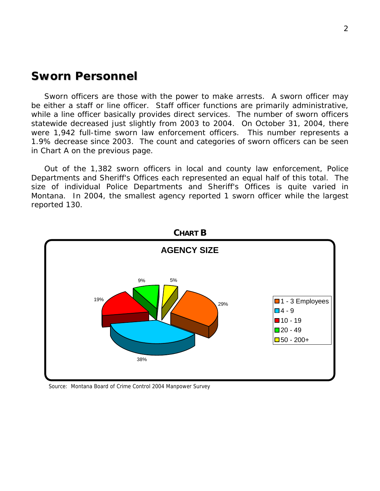#### *Sworn Personnel*

 Sworn officers are those with the power to make arrests. A sworn officer may be either a staff or line officer. Staff officer functions are primarily administrative, while a line officer basically provides direct services. The number of sworn officers statewide decreased just slightly from 2003 to 2004. On October 31, 2004, there were 1,942 full-time sworn law enforcement officers. This number represents a 1.9% decrease since 2003. The count and categories of sworn officers can be seen in Chart A on the previous page.

 Out of the 1,382 sworn officers in local and county law enforcement, Police Departments and Sheriff's Offices each represented an equal half of this total. The size of individual Police Departments and Sheriff's Offices is quite varied in Montana. In 2004, the smallest agency reported 1 sworn officer while the largest reported 130.



Source: Montana Board of Crime Control 2004 Manpower Survey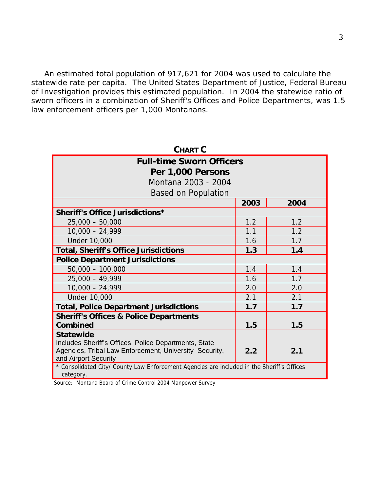An estimated total population of 917,621 for 2004 was used to calculate the statewide rate per capita. The United States Department of Justice, Federal Bureau of Investigation provides this estimated population. In 2004 the statewide ratio of stem congenion presention of Sheriff's Offices and Police Departments, was 1.5 law enforcement officers per 1,000 Montanans.

| <b>CHART C</b>                                                                             |      |      |  |  |  |  |
|--------------------------------------------------------------------------------------------|------|------|--|--|--|--|
| <b>Full-time Sworn Officers</b>                                                            |      |      |  |  |  |  |
| Per 1,000 Persons                                                                          |      |      |  |  |  |  |
| Montana 2003 - 2004                                                                        |      |      |  |  |  |  |
| <b>Based on Population</b>                                                                 |      |      |  |  |  |  |
|                                                                                            | 2003 | 2004 |  |  |  |  |
| <b>Sheriff's Office Jurisdictions*</b>                                                     |      |      |  |  |  |  |
| $25,000 - 50,000$                                                                          | 1.2  | 1.2  |  |  |  |  |
| $10,000 - 24,999$                                                                          | 1.1  | 1.2  |  |  |  |  |
| <b>Under 10,000</b>                                                                        | 1.6  | 1.7  |  |  |  |  |
| <b>Total, Sheriff's Office Jurisdictions</b>                                               | 1.3  | 1.4  |  |  |  |  |
| <b>Police Department Jurisdictions</b>                                                     |      |      |  |  |  |  |
| $50,000 - 100,000$                                                                         | 1.4  | 1.4  |  |  |  |  |
| $25,000 - 49,999$                                                                          | 1.6  | 1.7  |  |  |  |  |
| $10,000 - 24,999$                                                                          | 2.0  | 2.0  |  |  |  |  |
| <b>Under 10,000</b>                                                                        | 2.1  | 2.1  |  |  |  |  |
| <b>Total, Police Department Jurisdictions</b>                                              | 1.7  | 1.7  |  |  |  |  |
| <b>Sheriff's Offices &amp; Police Departments</b>                                          |      |      |  |  |  |  |
| <b>Combined</b>                                                                            | 1.5  | 1.5  |  |  |  |  |
| <b>Statewide</b>                                                                           |      |      |  |  |  |  |
| Includes Sheriff's Offices, Police Departments, State                                      |      |      |  |  |  |  |
| Agencies, Tribal Law Enforcement, University Security,<br>and Airport Security             | 2.2  | 2.1  |  |  |  |  |
| * Consolidated City/ County Law Enforcement Agencies are included in the Sheriff's Offices |      |      |  |  |  |  |
| category.                                                                                  |      |      |  |  |  |  |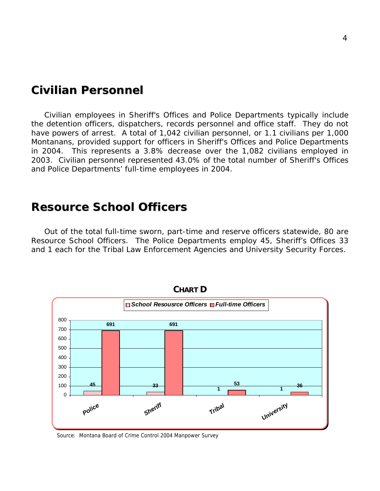#### *Civilian Personnel*

 Civilian employees in Sheriff's Offices and Police Departments typically include the detention officers, dispatchers, records personnel and office staff. They do not have powers of arrest. A total of 1,042 civilian personnel, or 1.1 civilians per 1,000 Montanans, provided support for officers in Sheriff's Offices and Police Departments in 2004. This represents a 3.8% decrease over the 1,082 civilians employed in 2003. Civilian personnel represented 43.0% of the total number of Sheriff's Offices and Police Departments' full-time employees in 2004.

#### *Resource School Officers*

 Out of the total full-time sworn, part-time and reserve officers statewide, 80 are Resource School Officers. The Police Departments employ 45, Sheriff's Offices 33 and 1 each for the Tribal Law Enforcement Agencies and University Security Forces.



Source: Montana Board of Crime Control 2004 Manpower Survey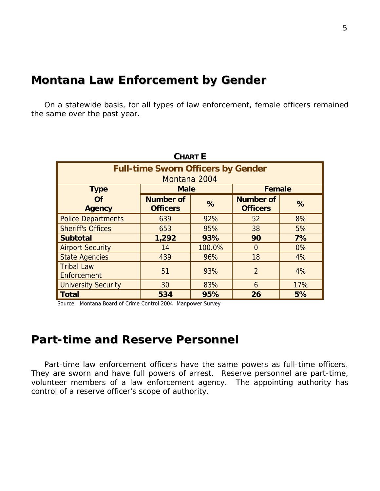#### *Montana Law Enforcement by Gender*

 On a statewide basis, for all types of law enforcement, female officers remained the same over the past year.

| <b>CHART E</b>                            |                                     |        |                                     |     |  |  |  |  |
|-------------------------------------------|-------------------------------------|--------|-------------------------------------|-----|--|--|--|--|
| <b>Full-time Sworn Officers by Gender</b> |                                     |        |                                     |     |  |  |  |  |
|                                           | Montana 2004                        |        |                                     |     |  |  |  |  |
| <b>Type</b>                               | <b>Male</b>                         |        | <b>Female</b>                       |     |  |  |  |  |
| Of<br><b>Agency</b>                       | <b>Number of</b><br><b>Officers</b> | %      | <b>Number of</b><br><b>Officers</b> | %   |  |  |  |  |
| <b>Police Departments</b>                 | 639                                 | 92%    | 52                                  | 8%  |  |  |  |  |
| <b>Sheriff's Offices</b>                  | 653                                 | 95%    | 38                                  | 5%  |  |  |  |  |
| <b>Subtotal</b>                           | 1,292                               | 93%    | 90                                  | 7%  |  |  |  |  |
| <b>Airport Security</b>                   | 14                                  | 100.0% | $\Omega$                            | 0%  |  |  |  |  |
| <b>State Agencies</b>                     | 439                                 | 96%    | 18                                  | 4%  |  |  |  |  |
| <b>Tribal Law</b><br>Enforcement          | 51                                  | 93%    | $\overline{2}$                      | 4%  |  |  |  |  |
| <b>University Security</b>                | 30                                  | 83%    | 6                                   | 17% |  |  |  |  |
| <b>Total</b>                              | 534                                 | 95%    | 26                                  | 5%  |  |  |  |  |

Source: Montana Board of Crime Control 2004 Manpower Survey

#### *Part-time and Reserve Personnel*

 Part-time law enforcement officers have the same powers as full-time officers. They are sworn and have full powers of arrest. Reserve personnel are part-time, volunteer members of a law enforcement agency. The appointing authority has control of a reserve officer's scope of authority.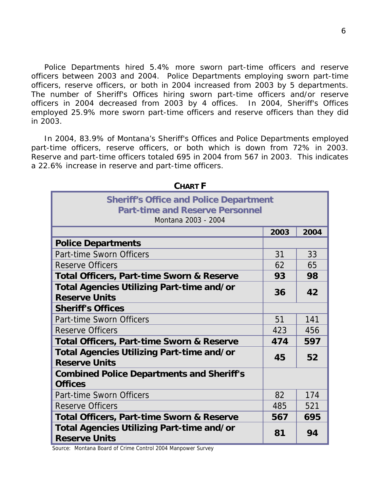Police Departments hired 5.4% more sworn part-time officers and reserve officers between 2003 and 2004. Police Departments employing sworn part-time officers, reserve officers, or both in 2004 increased from 2003 by 5 departments. The number of Sheriff's Offices hiring sworn part-time officers and/or reserve officers in 2004 decreased from 2003 by 4 offices. In 2004, Sheriff's Offices employed 25.9% more sworn part-time officers and reserve officers than they did in 2003.

 In 2004, 83.9% of Montana's Sheriff's Offices and Police Departments employed part-time officers, reserve officers, or both which is down from 72% in 2003. Reserve and part-time officers totaled 695 in 2004 from 567 in 2003. This indicates a 22.6% increase in reserve and part-time officers.

| <b>Sheriff's Office and Police Department</b><br><b>Part-time and Reserve Personnel</b><br>Montana 2003 - 2004 |      |      |  |  |  |  |
|----------------------------------------------------------------------------------------------------------------|------|------|--|--|--|--|
|                                                                                                                | 2003 | 2004 |  |  |  |  |
| <b>Police Departments</b>                                                                                      |      |      |  |  |  |  |
| Part-time Sworn Officers                                                                                       | 31   | 33   |  |  |  |  |
| <b>Reserve Officers</b>                                                                                        | 62   | 65   |  |  |  |  |
| <b>Total Officers, Part-time Sworn &amp; Reserve</b>                                                           | 93   | 98   |  |  |  |  |
| Total Agencies Utilizing Part-time and/or<br><b>Reserve Units</b>                                              | 36   | 42   |  |  |  |  |
| <b>Sheriff's Offices</b>                                                                                       |      |      |  |  |  |  |
| Part-time Sworn Officers                                                                                       | 51   | 141  |  |  |  |  |
| <b>Reserve Officers</b>                                                                                        | 423  | 456  |  |  |  |  |
| <b>Total Officers, Part-time Sworn &amp; Reserve</b>                                                           | 474  | 597  |  |  |  |  |
| <b>Total Agencies Utilizing Part-time and/or</b><br><b>Reserve Units</b>                                       | 45   | 52   |  |  |  |  |
| <b>Combined Police Departments and Sheriff's</b><br><b>Offices</b>                                             |      |      |  |  |  |  |
| Part-time Sworn Officers                                                                                       | 82   | 174  |  |  |  |  |
| <b>Reserve Officers</b>                                                                                        | 485  | 521  |  |  |  |  |
| <b>Total Officers, Part-time Sworn &amp; Reserve</b>                                                           | 567  | 695  |  |  |  |  |
| Total Agencies Utilizing Part-time and/or<br><b>Reserve Units</b>                                              | 81   | 94   |  |  |  |  |

CHAPT **F**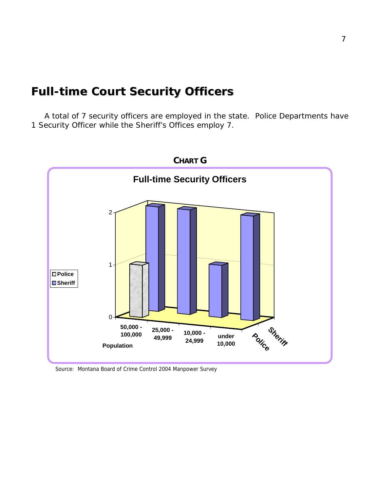### *Full-time Court Security Officers*

 A total of 7 security officers are employed in the state. Police Departments have 1 Security Officer while the Sheriff's Offices employ 7.



Source: Montana Board of Crime Control 2004 Manpower Survey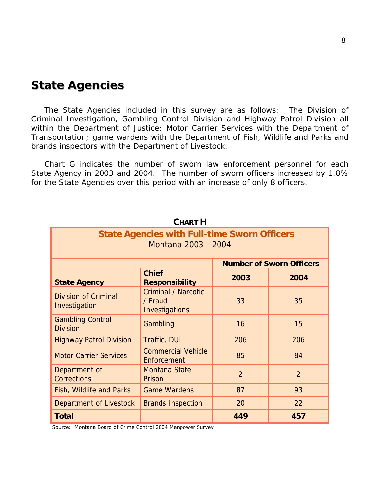#### *State Agencies*

 The State Agencies included in this survey are as follows: The Division of Criminal Investigation, Gambling Control Division and Highway Patrol Division all within the Department of Justice; Motor Carrier Services with the Department of Transportation; game wardens with the Department of Fish, Wildlife and Parks and brands inspectors with the Department of Livestock.

 Chart G indicates the number of sworn law enforcement personnel for each State Agency in 2003 and 2004. The number of sworn officers increased by 1.8% for the State Agencies over this period with an increase of only 8 officers.

|                                                                            | VIIARI II                                               |                |                |  |  |  |  |  |
|----------------------------------------------------------------------------|---------------------------------------------------------|----------------|----------------|--|--|--|--|--|
| <b>State Agencies with Full-time Sworn Officers</b><br>Montana 2003 - 2004 |                                                         |                |                |  |  |  |  |  |
| <b>Number of Sworn Officers</b>                                            |                                                         |                |                |  |  |  |  |  |
| <b>State Agency</b>                                                        | 2003                                                    | 2004           |                |  |  |  |  |  |
| <b>Division of Criminal</b><br>Investigation                               | <b>Criminal / Narcotic</b><br>/ Fraud<br>Investigations | 33             | 35             |  |  |  |  |  |
| <b>Gambling Control</b><br><b>Division</b>                                 | Gambling                                                | 16             | 15             |  |  |  |  |  |
| <b>Highway Patrol Division</b>                                             | Traffic, DUI                                            | 206            | 206            |  |  |  |  |  |
| <b>Motor Carrier Services</b>                                              | <b>Commercial Vehicle</b><br>Enforcement                | 85             | 84             |  |  |  |  |  |
| Department of<br><b>Corrections</b>                                        | <b>Montana State</b><br>Prison                          | $\overline{2}$ | $\overline{2}$ |  |  |  |  |  |
| Fish, Wildlife and Parks                                                   | <b>Game Wardens</b>                                     | 87             | 93             |  |  |  |  |  |
| Department of Livestock                                                    | <b>Brands Inspection</b>                                | 20             | 22             |  |  |  |  |  |
| <b>Total</b>                                                               |                                                         | 449            | 457            |  |  |  |  |  |

 $C$ **UADT H**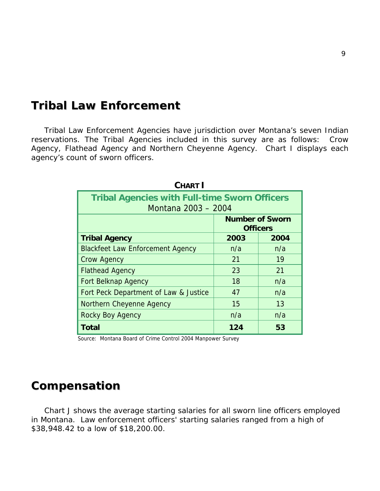#### *Tribal Law Enforcement*

 Tribal Law Enforcement Agencies have jurisdiction over Montana's seven Indian reservations. The Tribal Agencies included in this survey are as follows: Crow Agency, Flathead Agency and Northern Cheyenne Agency. Chart I displays each agency's count of sworn officers.

| <b>CHART I</b>                                                              |      |      |  |  |  |  |
|-----------------------------------------------------------------------------|------|------|--|--|--|--|
| <b>Tribal Agencies with Full-time Sworn Officers</b><br>Montana 2003 - 2004 |      |      |  |  |  |  |
| <b>Number of Sworn</b><br><b>Officers</b>                                   |      |      |  |  |  |  |
| <b>Tribal Agency</b>                                                        | 2003 | 2004 |  |  |  |  |
| <b>Blackfeet Law Enforcement Agency</b>                                     | n/a  | n/a  |  |  |  |  |
| <b>Crow Agency</b>                                                          | 21   | 19   |  |  |  |  |
| <b>Flathead Agency</b>                                                      | 23   | 21   |  |  |  |  |
| <b>Fort Belknap Agency</b>                                                  | 18   | n/a  |  |  |  |  |
| Fort Peck Department of Law & Justice                                       | 47   | n/a  |  |  |  |  |
| Northern Cheyenne Agency                                                    | 15   | 13   |  |  |  |  |
| Rocky Boy Agency                                                            | n/a  | n/a  |  |  |  |  |
| Total                                                                       | 124  | 53   |  |  |  |  |

Source: Montana Board of Crime Control 2004 Manpower Survey

#### *Compensation*

 Chart J shows the average starting salaries for all sworn line officers employed in Montana. Law enforcement officers' starting salaries ranged from a high of \$38,948.42 to a low of \$18,200.00.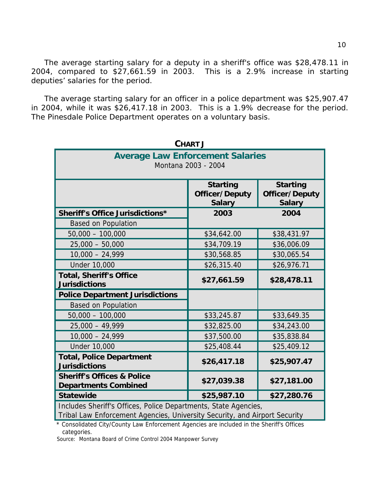The average starting salary for a deputy in a sheriff's office was \$28,478.11 in 2004, compared to \$27,661.59 in 2003. This is a 2.9% increase in starting deputies' salaries for the period.

 The average starting salary for an officer in a police department was \$25,907.47 in 2004, while it was \$26,417.18 in 2003. This is a 1.9% decrease for the period. The Pinesdale Police Department operates on a voluntary basis.

| <b>CHART J</b>                                                                                                                                |             |             |  |  |  |  |
|-----------------------------------------------------------------------------------------------------------------------------------------------|-------------|-------------|--|--|--|--|
| <b>Average Law Enforcement Salaries</b><br>Montana 2003 - 2004                                                                                |             |             |  |  |  |  |
| <b>Starting</b><br><b>Starting</b><br><b>Officer/Deputy</b><br>Officer/Deputy<br><b>Salary</b><br><b>Salary</b>                               |             |             |  |  |  |  |
| <b>Sheriff's Office Jurisdictions*</b>                                                                                                        | 2003        | 2004        |  |  |  |  |
| <b>Based on Population</b>                                                                                                                    |             |             |  |  |  |  |
| $50,000 - 100,000$                                                                                                                            | \$34,642.00 | \$38,431.97 |  |  |  |  |
| $25,000 - 50,000$                                                                                                                             | \$34,709.19 | \$36,006.09 |  |  |  |  |
| $10,000 - 24,999$                                                                                                                             | \$30,568.85 | \$30,065.54 |  |  |  |  |
| <b>Under 10,000</b>                                                                                                                           | \$26,315.40 | \$26,976.71 |  |  |  |  |
| <b>Total, Sheriff's Office</b><br><b>Jurisdictions</b>                                                                                        | \$27,661.59 | \$28,478.11 |  |  |  |  |
| <b>Police Department Jurisdictions</b>                                                                                                        |             |             |  |  |  |  |
| <b>Based on Population</b>                                                                                                                    |             |             |  |  |  |  |
| $50,000 - 100,000$                                                                                                                            | \$33,245.87 | \$33,649.35 |  |  |  |  |
| $25,000 - 49,999$                                                                                                                             | \$32,825.00 | \$34,243.00 |  |  |  |  |
| $10,000 - 24,999$                                                                                                                             | \$37,500.00 | \$35,838.84 |  |  |  |  |
| <b>Under 10,000</b>                                                                                                                           | \$25,408.44 | \$25,409.12 |  |  |  |  |
| <b>Total, Police Department</b><br><b>Jurisdictions</b>                                                                                       | \$26,417.18 | \$25,907.47 |  |  |  |  |
| <b>Sheriff's Offices &amp; Police</b><br><b>Departments Combined</b>                                                                          | \$27,039.38 | \$27,181.00 |  |  |  |  |
| <b>Statewide</b>                                                                                                                              | \$25,987.10 | \$27,280.76 |  |  |  |  |
| Includes Sheriff's Offices, Police Departments, State Agencies,<br>Tribal Law Enforcement Agencies, University Security, and Airport Security |             |             |  |  |  |  |

\* Consolidated City/County Law Enforcement Agencies are included in the Sheriff's Offices categories.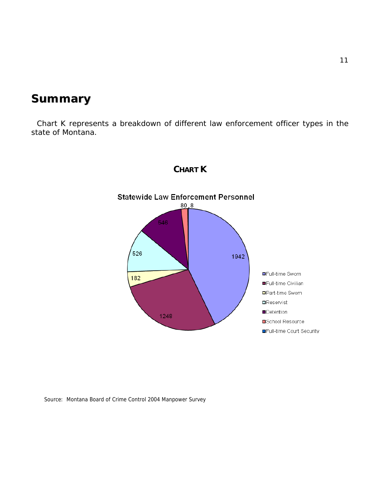## *Summary*

 Chart K represents a breakdown of different law enforcement officer types in the state of Montana.



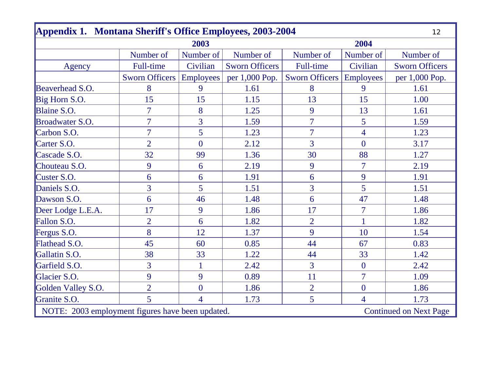| Appendix 1. Montana Sheriff's Office Employees, 2003-2004                         |                       |                  |                       |                                 |                |                       |
|-----------------------------------------------------------------------------------|-----------------------|------------------|-----------------------|---------------------------------|----------------|-----------------------|
|                                                                                   |                       | 2003             |                       |                                 | 2004           |                       |
|                                                                                   | Number of             | Number of        | Number of             | Number of                       | Number of      | Number of             |
| Agency                                                                            | <b>Full-time</b>      | Civilian         | <b>Sworn Officers</b> | Full-time                       | Civilian       | <b>Sworn Officers</b> |
|                                                                                   | <b>Sworn Officers</b> | <b>Employees</b> | per 1,000 Pop.        | <b>Sworn Officers Employees</b> |                | per 1,000 Pop.        |
| Beaverhead S.O.                                                                   | 8                     | 9                | 1.61                  | 8                               | 9              | 1.61                  |
| Big Horn S.O.                                                                     | 15                    | 15               | 1.15                  | 13                              | 15             | 1.00                  |
| Blaine S.O.                                                                       | $\overline{7}$        | 8                | 1.25                  | 9                               | 13             | 1.61                  |
| Broadwater S.O.                                                                   | $\overline{7}$        | $\overline{3}$   | 1.59                  | $\overline{7}$                  | $\overline{5}$ | 1.59                  |
| Carbon S.O.                                                                       | $\overline{7}$        | 5                | 1.23                  | $\overline{7}$                  | $\overline{4}$ | 1.23                  |
| Carter S.O.                                                                       | $\overline{2}$        | $\overline{0}$   | 2.12                  | $\overline{3}$                  | $\overline{0}$ | 3.17                  |
| Cascade S.O.                                                                      | 32                    | 99               | 1.36                  | 30                              | 88             | 1.27                  |
| Chouteau S.O.                                                                     | 9                     | 6                | 2.19                  | 9                               | $\overline{7}$ | 2.19                  |
| Custer S.O.                                                                       | 6                     | 6                | 1.91                  | 6                               | 9              | 1.91                  |
| Daniels S.O.                                                                      | $\overline{3}$        | 5                | 1.51                  | 3                               | 5              | 1.51                  |
| Dawson S.O.                                                                       | 6                     | 46               | 1.48                  | 6                               | 47             | 1.48                  |
| Deer Lodge L.E.A.                                                                 | 17                    | 9                | 1.86                  | 17                              | $\overline{7}$ | 1.86                  |
| Fallon S.O.                                                                       | $\overline{2}$        | 6                | 1.82                  | $\overline{2}$                  | $\mathbf{1}$   | 1.82                  |
| Fergus S.O.                                                                       | 8                     | 12               | 1.37                  | 9                               | 10             | 1.54                  |
| Flathead S.O.                                                                     | 45                    | 60               | 0.85                  | 44                              | 67             | 0.83                  |
| Gallatin S.O.                                                                     | 38                    | 33               | 1.22                  | 44                              | 33             | 1.42                  |
| Garfield S.O.                                                                     | 3                     |                  | 2.42                  | 3                               | $\mathbf{0}$   | 2.42                  |
| Glacier S.O.                                                                      | 9                     | 9                | 0.89                  | 11                              | $\overline{7}$ | 1.09                  |
| Golden Valley S.O.                                                                | $\overline{2}$        | $\overline{0}$   | 1.86                  | $\overline{2}$                  | $\overline{0}$ | 1.86                  |
| Granite S.O.                                                                      | 5                     | $\overline{4}$   | 1.73                  | 5                               | $\overline{4}$ | 1.73                  |
| NOTE: 2003 employment figures have been updated.<br><b>Continued on Next Page</b> |                       |                  |                       |                                 |                |                       |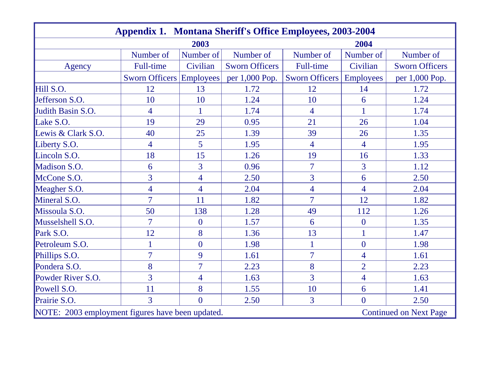| <b>Appendix 1. Montana Sheriff's Office Employees, 2003-2004</b> |                                 |                  |                       |                       |                  |                               |
|------------------------------------------------------------------|---------------------------------|------------------|-----------------------|-----------------------|------------------|-------------------------------|
|                                                                  |                                 | 2003             |                       |                       | 2004             |                               |
|                                                                  | Number of                       | Number of        | Number of             | Number of             | Number of        | Number of                     |
| Agency                                                           | <b>Full-time</b>                | Civilian         | <b>Sworn Officers</b> | Full-time             | Civilian         | <b>Sworn Officers</b>         |
|                                                                  | <b>Sworn Officers Employees</b> |                  | per 1,000 Pop.        | <b>Sworn Officers</b> | <b>Employees</b> | per 1,000 Pop.                |
| Hill S.O.                                                        | 12                              | 13               | 1.72                  | 12                    | 14               | 1.72                          |
| Jefferson S.O.                                                   | 10                              | 10               | 1.24                  | 10                    | 6                | 1.24                          |
| Judith Basin S.O.                                                | $\overline{4}$                  | 1                | 1.74                  | 4                     | 1                | 1.74                          |
| Lake S.O.                                                        | 19                              | 29               | 0.95                  | 21                    | 26               | 1.04                          |
| Lewis & Clark S.O.                                               | 40                              | 25               | 1.39                  | 39                    | 26               | 1.35                          |
| Liberty S.O.                                                     | $\overline{4}$                  | 5                | 1.95                  | $\overline{4}$        | $\overline{4}$   | 1.95                          |
| Lincoln S.O.                                                     | 18                              | 15               | 1.26                  | 19                    | 16               | 1.33                          |
| Madison S.O.                                                     | 6                               | $\overline{3}$   | 0.96                  | $\overline{7}$        | $\overline{3}$   | 1.12                          |
| McCone S.O.                                                      | $\overline{3}$                  | $\overline{4}$   | 2.50                  | $\overline{3}$        | 6                | 2.50                          |
| Meagher S.O.                                                     | $\overline{4}$                  | $\overline{4}$   | 2.04                  | $\overline{4}$        | $\overline{4}$   | 2.04                          |
| Mineral S.O.                                                     | $\overline{7}$                  | 11               | 1.82                  | $\overline{7}$        | 12               | 1.82                          |
| Missoula S.O.                                                    | 50                              | 138              | 1.28                  | 49                    | 112              | 1.26                          |
| Musselshell S.O.                                                 | $\overline{7}$                  | $\boldsymbol{0}$ | 1.57                  | 6                     | $\boldsymbol{0}$ | 1.35                          |
| Park S.O.                                                        | 12                              | 8                | 1.36                  | 13                    | $\mathbf{1}$     | 1.47                          |
| Petroleum S.O.                                                   | $\overline{1}$                  | $\overline{0}$   | 1.98                  |                       | $\overline{0}$   | 1.98                          |
| Phillips S.O.                                                    | $\overline{7}$                  | 9                | 1.61                  | $\overline{7}$        | $\overline{4}$   | 1.61                          |
| Pondera S.O.                                                     | 8                               | $\overline{7}$   | 2.23                  | 8                     | $\overline{2}$   | 2.23                          |
| Powder River S.O.                                                | $\overline{3}$                  | 4                | 1.63                  | 3                     | $\overline{4}$   | 1.63                          |
| Powell S.O.                                                      | 11                              | 8                | 1.55                  | 10                    | 6                | 1.41                          |
| Prairie S.O.                                                     | $\overline{3}$                  | $\overline{0}$   | 2.50                  | 3                     | $\overline{0}$   | 2.50                          |
| NOTE: 2003 employment figures have been updated.                 |                                 |                  |                       |                       |                  | <b>Continued on Next Page</b> |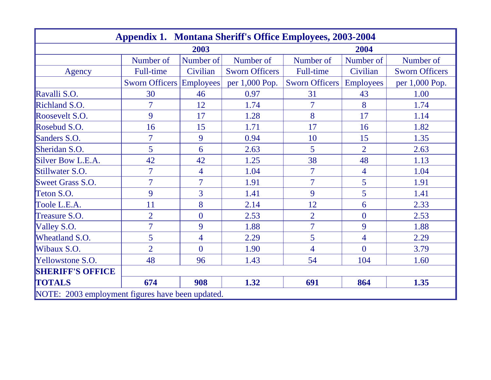| <b>Appendix 1. Montana Sheriff's Office Employees, 2003-2004</b> |                                 |                |                       |                       |                  |                       |  |
|------------------------------------------------------------------|---------------------------------|----------------|-----------------------|-----------------------|------------------|-----------------------|--|
|                                                                  |                                 | 2003           |                       |                       | 2004             |                       |  |
|                                                                  | Number of                       | Number of      | Number of             | Number of             | Number of        | Number of             |  |
| Agency                                                           | <b>Full-time</b>                | Civilian       | <b>Sworn Officers</b> | Full-time             | Civilian         | <b>Sworn Officers</b> |  |
|                                                                  | <b>Sworn Officers Employees</b> |                | per 1,000 Pop.        | <b>Sworn Officers</b> | <b>Employees</b> | per 1,000 Pop.        |  |
| Ravalli S.O.                                                     | 30                              | 46             | 0.97                  | 31                    | 43               | 1.00                  |  |
| Richland S.O.                                                    | $\overline{7}$                  | 12             | 1.74                  | $\overline{7}$        | 8                | 1.74                  |  |
| Roosevelt S.O.                                                   | 9                               | 17             | 1.28                  | 8                     | 17               | 1.14                  |  |
| Rosebud S.O.                                                     | 16                              | 15             | 1.71                  | 17                    | 16               | 1.82                  |  |
| Sanders S.O.                                                     | $\overline{7}$                  | 9              | 0.94                  | 10                    | 15               | 1.35                  |  |
| Sheridan S.O.                                                    | 5                               | 6              | 2.63                  | 5                     | $\overline{2}$   | 2.63                  |  |
| Silver Bow L.E.A.                                                | 42                              | 42             | 1.25                  | 38                    | 48               | 1.13                  |  |
| Stillwater S.O.                                                  | $\overline{7}$                  | 4              | 1.04                  | 7                     | $\overline{4}$   | 1.04                  |  |
| <b>Sweet Grass S.O.</b>                                          | $\overline{7}$                  | $\overline{7}$ | 1.91                  | $\overline{7}$        | $5\overline{)}$  | 1.91                  |  |
| Teton S.O.                                                       | 9                               | 3              | 1.41                  | 9                     | 5                | 1.41                  |  |
| Toole L.E.A.                                                     | 11                              | 8              | 2.14                  | 12                    | 6                | 2.33                  |  |
| Treasure S.O.                                                    | $\overline{2}$                  | $\overline{0}$ | 2.53                  | $\overline{2}$        | $\boldsymbol{0}$ | 2.53                  |  |
| Valley S.O.                                                      | $\overline{7}$                  | 9              | 1.88                  | $\overline{7}$        | 9                | 1.88                  |  |
| Wheatland S.O.                                                   | 5                               | 4              | 2.29                  | 5                     | $\overline{4}$   | 2.29                  |  |
| Wibaux S.O.                                                      | $\overline{2}$                  | $\theta$       | 1.90                  | $\overline{4}$        | $\overline{0}$   | 3.79                  |  |
| Yellowstone S.O.                                                 | 48                              | 96             | 1.43                  | 54                    | 104              | 1.60                  |  |
| <b>SHERIFF'S OFFICE</b>                                          |                                 |                |                       |                       |                  |                       |  |
| <b>TOTALS</b>                                                    | 674                             | 908            | 1.32                  | 691                   | 864              | 1.35                  |  |
| NOTE: 2003 employment figures have been updated.                 |                                 |                |                       |                       |                  |                       |  |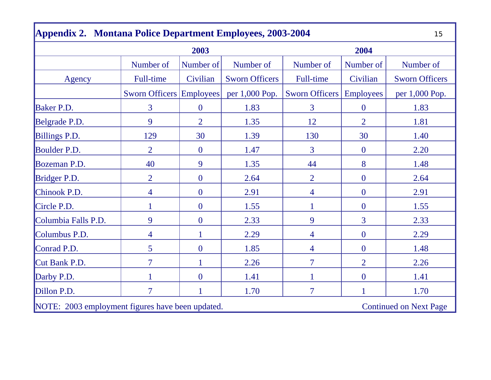|                                                                                   | 2003                            |                |                       |                       | 2004             |                       |
|-----------------------------------------------------------------------------------|---------------------------------|----------------|-----------------------|-----------------------|------------------|-----------------------|
|                                                                                   | Number of                       | Number of      | Number of             | Number of             | Number of        | Number of             |
| Agency                                                                            | <b>Full-time</b>                | Civilian       | <b>Sworn Officers</b> | <b>Full-time</b>      | Civilian         | <b>Sworn Officers</b> |
|                                                                                   | <b>Sworn Officers Employees</b> |                | per 1,000 Pop.        | <b>Sworn Officers</b> | <b>Employees</b> | per 1,000 Pop.        |
| <b>Baker P.D.</b>                                                                 | 3                               | $\mathbf{0}$   | 1.83                  | 3                     | $\mathbf{0}$     | 1.83                  |
| Belgrade P.D.                                                                     | 9                               | $\overline{2}$ | 1.35                  | 12                    | $\overline{2}$   | 1.81                  |
| Billings P.D.                                                                     | 129                             | 30             | 1.39                  | 130                   | 30               | 1.40                  |
| Boulder P.D.                                                                      | $\overline{2}$                  | $\mathbf{0}$   | 1.47                  | 3                     | $\boldsymbol{0}$ | 2.20                  |
| Bozeman P.D.                                                                      | 40                              | 9              | 1.35                  | 44                    | 8                | 1.48                  |
| Bridger P.D.                                                                      | $\overline{2}$                  | $\mathbf{0}$   | 2.64                  | $\overline{2}$        | $\overline{0}$   | 2.64                  |
| Chinook P.D.                                                                      | $\overline{4}$                  | $\mathbf{0}$   | 2.91                  | 4                     | $\boldsymbol{0}$ | 2.91                  |
| Circle P.D.                                                                       | 1                               | $\mathbf{0}$   | 1.55                  |                       | $\mathbf{0}$     | 1.55                  |
| Columbia Falls P.D.                                                               | 9                               | $\mathbf{0}$   | 2.33                  | 9                     | $\overline{3}$   | 2.33                  |
| Columbus P.D.                                                                     | $\overline{4}$                  |                | 2.29                  | 4                     | $\boldsymbol{0}$ | 2.29                  |
| Conrad P.D.                                                                       | 5                               | $\overline{0}$ | 1.85                  | 4                     | $\mathbf{0}$     | 1.48                  |
| Cut Bank P.D.                                                                     | $\overline{7}$                  |                | 2.26                  | 7                     | $\overline{2}$   | 2.26                  |
| Darby P.D.                                                                        | 1                               | $\overline{0}$ | 1.41                  |                       | $\mathbf{0}$     | 1.41                  |
| Dillon P.D.                                                                       | $\overline{7}$                  | 1              | 1.70                  | $\overline{7}$        | $\mathbf{1}$     | 1.70                  |
| NOTE: 2003 employment figures have been updated.<br><b>Continued on Next Page</b> |                                 |                |                       |                       |                  |                       |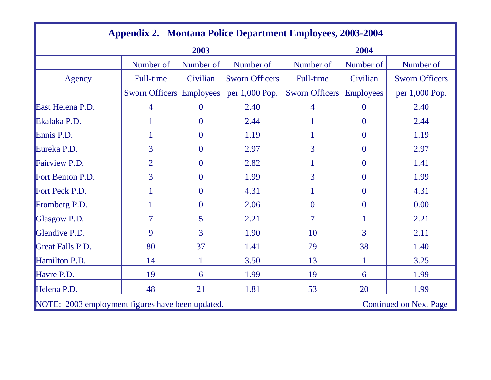| <b>Appendix 2. Montana Police Department Employees, 2003-2004</b>                 |                                 |                  |                       |                          |                  |                       |  |
|-----------------------------------------------------------------------------------|---------------------------------|------------------|-----------------------|--------------------------|------------------|-----------------------|--|
|                                                                                   |                                 | 2003             |                       | 2004                     |                  |                       |  |
|                                                                                   | Number of                       | Number of        | Number of             | Number of                | Number of        | Number of             |  |
| Agency                                                                            | Full-time                       | Civilian         | <b>Sworn Officers</b> | Full-time                | Civilian         | <b>Sworn Officers</b> |  |
|                                                                                   | <b>Sworn Officers Employees</b> |                  | per 1,000 Pop.        | <b>Sworn Officers</b>    | <b>Employees</b> | per 1,000 Pop.        |  |
| East Helena P.D.                                                                  | 4                               | $\boldsymbol{0}$ | 2.40                  | 4                        | $\overline{0}$   | 2.40                  |  |
| Ekalaka P.D.                                                                      | 1                               | $\overline{0}$   | 2.44                  |                          | $\overline{0}$   | 2.44                  |  |
| Ennis P.D.                                                                        | $\mathbf{1}$                    | $\overline{0}$   | 1.19                  |                          | $\overline{0}$   | 1.19                  |  |
| Eureka P.D.                                                                       | 3                               | $\mathbf{0}$     | 2.97                  | 3                        | $\overline{0}$   | 2.97                  |  |
| Fairview P.D.                                                                     | $\overline{2}$                  | $\overline{0}$   | 2.82                  | $\mathbf{1}$             | $\mathbf{0}$     | 1.41                  |  |
| Fort Benton P.D.                                                                  | 3                               | $\overline{0}$   | 1.99                  | 3                        | $\overline{0}$   | 1.99                  |  |
| Fort Peck P.D.                                                                    | 1                               | $\overline{0}$   | 4.31                  | 1                        | $\overline{0}$   | 4.31                  |  |
| Fromberg P.D.                                                                     | 1                               | $\overline{0}$   | 2.06                  | $\overline{0}$           | $\overline{0}$   | 0.00                  |  |
| Glasgow P.D.                                                                      | $\overline{7}$                  | 5                | 2.21                  | $\overline{\mathcal{I}}$ | 1                | 2.21                  |  |
| Glendive P.D.                                                                     | 9                               | 3                | 1.90                  | 10                       | $\overline{3}$   | 2.11                  |  |
| Great Falls P.D.                                                                  | 80                              | 37               | 1.41                  | 79                       | 38               | 1.40                  |  |
| Hamilton P.D.                                                                     | 14                              |                  | 3.50                  | 13                       | 1                | 3.25                  |  |
| Havre P.D.                                                                        | 19                              | 6                | 1.99                  | 19                       | 6                | 1.99                  |  |
| Helena P.D.                                                                       | 48                              | 21               | 1.81                  | 53                       | 20               | 1.99                  |  |
| NOTE: 2003 employment figures have been updated.<br><b>Continued on Next Page</b> |                                 |                  |                       |                          |                  |                       |  |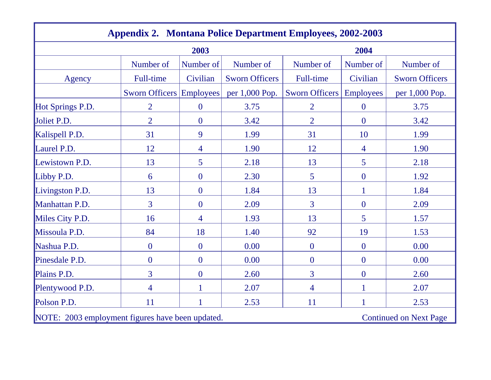| <b>Appendix 2. Montana Police Department Employees, 2002-2003</b>                 |                          |                  |                       |                |                  |                       |  |
|-----------------------------------------------------------------------------------|--------------------------|------------------|-----------------------|----------------|------------------|-----------------------|--|
|                                                                                   | 2003                     |                  |                       | 2004           |                  |                       |  |
|                                                                                   | Number of                | Number of        | Number of             | Number of      | Number of        | Number of             |  |
| Agency                                                                            | Full-time                | Civilian         | <b>Sworn Officers</b> | Full-time      | Civilian         | <b>Sworn Officers</b> |  |
|                                                                                   | Sworn Officers Employees |                  | per 1,000 Pop.        | Sworn Officers | <b>Employees</b> | per 1,000 Pop.        |  |
| Hot Springs P.D.                                                                  | $\overline{2}$           | $\mathbf{0}$     | 3.75                  | $\overline{2}$ | $\mathbf{0}$     | 3.75                  |  |
| Joliet P.D.                                                                       | $\overline{2}$           | $\boldsymbol{0}$ | 3.42                  | $\overline{2}$ | $\boldsymbol{0}$ | 3.42                  |  |
| Kalispell P.D.                                                                    | 31                       | 9                | 1.99                  | 31             | 10               | 1.99                  |  |
| Laurel P.D.                                                                       | 12                       | 4                | 1.90                  | 12             | 4                | 1.90                  |  |
| Lewistown P.D.                                                                    | 13                       | 5                | 2.18                  | 13             | 5                | 2.18                  |  |
| Libby P.D.                                                                        | 6                        | $\mathbf{0}$     | 2.30                  | 5              | $\boldsymbol{0}$ | 1.92                  |  |
| Livingston P.D.                                                                   | 13                       | $\overline{0}$   | 1.84                  | 13             | $\mathbf{1}$     | 1.84                  |  |
| Manhattan P.D.                                                                    | $\overline{3}$           | $\overline{0}$   | 2.09                  | $\overline{3}$ | $\overline{0}$   | 2.09                  |  |
| Miles City P.D.                                                                   | 16                       | 4                | 1.93                  | 13             | 5                | 1.57                  |  |
| Missoula P.D.                                                                     | 84                       | 18               | 1.40                  | 92             | 19               | 1.53                  |  |
| Nashua P.D.                                                                       | $\overline{0}$           | $\overline{0}$   | 0.00                  | $\overline{0}$ | $\overline{0}$   | 0.00                  |  |
| Pinesdale P.D.                                                                    | $\overline{0}$           | $\mathbf{0}$     | 0.00                  | $\overline{0}$ | $\mathbf{0}$     | 0.00                  |  |
| Plains P.D.                                                                       | 3                        | $\mathbf{0}$     | 2.60                  | 3              | $\boldsymbol{0}$ | 2.60                  |  |
| Plentywood P.D.                                                                   | $\overline{4}$           | 1                | 2.07                  | 4              | $\mathbf{1}$     | 2.07                  |  |
| Polson P.D.                                                                       | 11                       |                  | 2.53                  | 11             |                  | 2.53                  |  |
| NOTE: 2003 employment figures have been updated.<br><b>Continued on Next Page</b> |                          |                  |                       |                |                  |                       |  |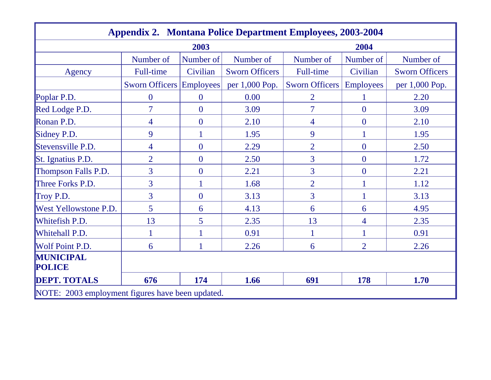| <b>Appendix 2. Montana Police Department Employees, 2003-2004</b> |                                 |                |                       |                          |                  |                       |  |
|-------------------------------------------------------------------|---------------------------------|----------------|-----------------------|--------------------------|------------------|-----------------------|--|
|                                                                   | 2003<br>2004                    |                |                       |                          |                  |                       |  |
|                                                                   | Number of                       | Number of      | Number of             | Number of                | Number of        | Number of             |  |
| Agency                                                            | <b>Full-time</b>                | Civilian       | <b>Sworn Officers</b> | Full-time                | Civilian         | <b>Sworn Officers</b> |  |
|                                                                   | <b>Sworn Officers Employees</b> |                | per 1,000 Pop.        | <b>Sworn Officers</b>    | <b>Employees</b> | per 1,000 Pop.        |  |
| Poplar P.D.                                                       | $\boldsymbol{0}$                | $\bf{0}$       | 0.00                  | $\overline{2}$           | 1                | 2.20                  |  |
| Red Lodge P.D.                                                    | 7                               | $\overline{0}$ | 3.09                  | $\overline{\mathcal{I}}$ | $\overline{0}$   | 3.09                  |  |
| Ronan P.D.                                                        | $\overline{4}$                  | $\overline{0}$ | 2.10                  | 4                        | $\overline{0}$   | 2.10                  |  |
| Sidney P.D.                                                       | 9                               |                | 1.95                  | 9                        | $\mathbf{1}$     | 1.95                  |  |
| Stevensville P.D.                                                 | 4                               | $\overline{0}$ | 2.29                  | $\overline{2}$           | $\overline{0}$   | 2.50                  |  |
| St. Ignatius P.D.                                                 | $\overline{2}$                  | $\overline{0}$ | 2.50                  | 3                        | $\overline{0}$   | 1.72                  |  |
| Thompson Falls P.D.                                               | 3                               | $\overline{0}$ | 2.21                  | 3                        | $\boldsymbol{0}$ | 2.21                  |  |
| Three Forks P.D.                                                  | 3                               |                | 1.68                  | $\overline{2}$           |                  | 1.12                  |  |
| Troy P.D.                                                         | $\overline{3}$                  | $\overline{0}$ | 3.13                  | 3                        |                  | 3.13                  |  |
| West Yellowstone P.D.                                             | 5                               | 6              | 4.13                  | 6                        | 6                | 4.95                  |  |
| Whitefish P.D.                                                    | 13                              | 5              | 2.35                  | 13                       | $\overline{4}$   | 2.35                  |  |
| Whitehall P.D.                                                    | 1                               |                | 0.91                  |                          |                  | 0.91                  |  |
| Wolf Point P.D.                                                   | 6                               |                | 2.26                  | 6                        | $\overline{2}$   | 2.26                  |  |
| <b>MUNICIPAL</b><br><b>POLICE</b>                                 |                                 |                |                       |                          |                  |                       |  |
| <b>DEPT. TOTALS</b>                                               | 676                             | 174            | 1.66                  | 691                      | 178              | 1.70                  |  |
| NOTE: 2003 employment figures have been updated.                  |                                 |                |                       |                          |                  |                       |  |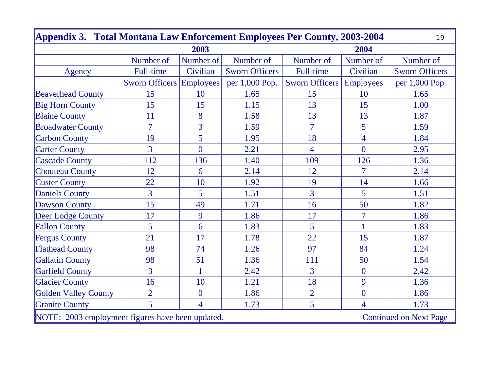| Appendix 3. Total Montana Law Enforcement Employees Per County, 2003-2004<br>19   |                                 |                |                       |                |                  |                       |  |
|-----------------------------------------------------------------------------------|---------------------------------|----------------|-----------------------|----------------|------------------|-----------------------|--|
| 2003                                                                              |                                 |                |                       |                | 2004             |                       |  |
|                                                                                   | Number of                       | Number of      | Number of             | Number of      | Number of        | Number of             |  |
| Agency                                                                            | Full-time                       | Civilian       | <b>Sworn Officers</b> | Full-time      | Civilian         | <b>Sworn Officers</b> |  |
|                                                                                   | <b>Sworn Officers Employees</b> |                | per 1,000 Pop.        | Sworn Officers | <b>Employees</b> | per 1,000 Pop.        |  |
| <b>Beaverhead County</b>                                                          | 15                              | 10             | 1.65                  | 15             | 10               | 1.65                  |  |
| <b>Big Horn County</b>                                                            | 15                              | 15             | 1.15                  | 13             | 15               | 1.00                  |  |
| <b>Blaine County</b>                                                              | 11                              | 8              | 1.58                  | 13             | 13               | 1.87                  |  |
| <b>Broadwater County</b>                                                          | $\overline{7}$                  | $\overline{3}$ | 1.59                  | $\overline{7}$ | 5                | 1.59                  |  |
| <b>Carbon County</b>                                                              | 19                              | 5              | 1.95                  | 18             | $\overline{4}$   | 1.84                  |  |
| <b>Carter County</b>                                                              | $\overline{3}$                  | $\overline{0}$ | 2.21                  | $\overline{4}$ | $\overline{0}$   | 2.95                  |  |
| <b>Cascade County</b>                                                             | 112                             | 136            | 1.40                  | 109            | 126              | 1.36                  |  |
| <b>Chouteau County</b>                                                            | 12                              | 6              | 2.14                  | 12             | $\overline{7}$   | 2.14                  |  |
| <b>Custer County</b>                                                              | 22                              | 10             | 1.92                  | 19             | 14               | 1.66                  |  |
| <b>Daniels County</b>                                                             | $\overline{3}$                  | 5              | 1.51                  | $\overline{3}$ | 5                | 1.51                  |  |
| <b>Dawson County</b>                                                              | 15                              | 49             | 1.71                  | 16             | 50               | 1.82                  |  |
| Deer Lodge County                                                                 | 17                              | 9              | 1.86                  | 17             | $\overline{7}$   | 1.86                  |  |
| <b>Fallon County</b>                                                              | 5                               | 6              | 1.83                  | $\overline{5}$ | $\mathbf{1}$     | 1.83                  |  |
| <b>Fergus County</b>                                                              | 21                              | 17             | 1.78                  | 22             | 15               | 1.87                  |  |
| <b>Flathead County</b>                                                            | 98                              | 74             | 1.26                  | 97             | 84               | 1.24                  |  |
| <b>Gallatin County</b>                                                            | 98                              | 51             | 1.36                  | 111            | 50               | 1.54                  |  |
| <b>Garfield County</b>                                                            | $\overline{3}$                  | $\mathbf{1}$   | 2.42                  | $\overline{3}$ | $\overline{0}$   | 2.42                  |  |
| <b>Glacier County</b>                                                             | 16                              | 10             | 1.21                  | 18             | 9                | 1.36                  |  |
| <b>Golden Valley County</b>                                                       | $\overline{2}$                  | $\overline{0}$ | 1.86                  | $\overline{2}$ | $\overline{0}$   | 1.86                  |  |
| <b>Granite County</b>                                                             | 5                               | $\overline{4}$ | 1.73                  | 5              | $\overline{4}$   | 1.73                  |  |
| NOTE: 2003 employment figures have been updated.<br><b>Continued on Next Page</b> |                                 |                |                       |                |                  |                       |  |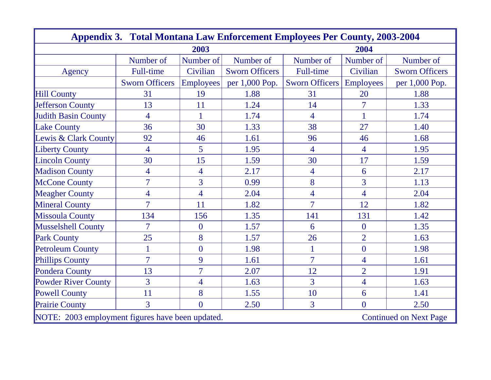| <b>Appendix 3. Total Montana Law Enforcement Employees Per County, 2003-2004</b>  |                       |                  |                       |                          |                  |                       |  |
|-----------------------------------------------------------------------------------|-----------------------|------------------|-----------------------|--------------------------|------------------|-----------------------|--|
|                                                                                   | 2004                  |                  |                       |                          |                  |                       |  |
|                                                                                   | Number of             | Number of        | Number of             | Number of                | Number of        | Number of             |  |
| Agency                                                                            | Full-time             | Civilian         | <b>Sworn Officers</b> | Full-time                | Civilian         | <b>Sworn Officers</b> |  |
|                                                                                   | <b>Sworn Officers</b> | <b>Employees</b> | per 1,000 Pop.        | Sworn Officers           | <b>Employees</b> | per 1,000 Pop.        |  |
| <b>Hill County</b>                                                                | 31                    | 19               | 1.88                  | 31                       | 20               | 1.88                  |  |
| <b>Jefferson County</b>                                                           | 13                    | 11               | 1.24                  | 14                       | $\overline{7}$   | 1.33                  |  |
| <b>Judith Basin County</b>                                                        | $\overline{4}$        | $\mathbf{1}$     | 1.74                  | $\overline{4}$           | $\mathbf{1}$     | 1.74                  |  |
| <b>Lake County</b>                                                                | 36                    | 30               | 1.33                  | 38                       | 27               | 1.40                  |  |
| Lewis & Clark County                                                              | 92                    | 46               | 1.61                  | 96                       | 46               | 1.68                  |  |
| <b>Liberty County</b>                                                             | $\overline{4}$        | 5                | 1.95                  | $\overline{4}$           | $\overline{4}$   | 1.95                  |  |
| <b>Lincoln County</b>                                                             | 30                    | 15               | 1.59                  | 30                       | 17               | 1.59                  |  |
| <b>Madison County</b>                                                             | $\overline{4}$        | $\overline{4}$   | 2.17                  | $\overline{\mathcal{A}}$ | 6                | 2.17                  |  |
| <b>McCone County</b>                                                              | $\overline{7}$        | $\overline{3}$   | 0.99                  | 8                        | $\overline{3}$   | 1.13                  |  |
| <b>Meagher County</b>                                                             | $\overline{4}$        | $\overline{4}$   | 2.04                  | $\overline{4}$           | $\overline{4}$   | 2.04                  |  |
| <b>Mineral County</b>                                                             | $\overline{7}$        | 11               | 1.82                  | $\overline{7}$           | 12               | 1.82                  |  |
| <b>Missoula County</b>                                                            | 134                   | 156              | 1.35                  | 141                      | 131              | 1.42                  |  |
| <b>Musselshell County</b>                                                         | $\overline{7}$        | $\overline{0}$   | 1.57                  | 6                        | $\overline{0}$   | 1.35                  |  |
| <b>Park County</b>                                                                | 25                    | 8                | 1.57                  | 26                       | $\overline{2}$   | 1.63                  |  |
| <b>Petroleum County</b>                                                           | $\mathbf{1}$          | $\overline{0}$   | 1.98                  | 1                        | $\overline{0}$   | 1.98                  |  |
| <b>Phillips County</b>                                                            | $\overline{7}$        | 9                | 1.61                  | $\overline{7}$           | $\overline{4}$   | 1.61                  |  |
| Pondera County                                                                    | 13                    | $\overline{7}$   | 2.07                  | 12                       | $\overline{2}$   | 1.91                  |  |
| <b>Powder River County</b>                                                        | $\overline{3}$        | $\overline{4}$   | 1.63                  | $\overline{3}$           | $\overline{4}$   | 1.63                  |  |
| <b>Powell County</b>                                                              | 11                    | 8                | 1.55                  | 10                       | 6                | 1.41                  |  |
| <b>Prairie County</b>                                                             | $\overline{3}$        | $\overline{0}$   | 2.50                  | $\overline{3}$           | $\overline{0}$   | 2.50                  |  |
| NOTE: 2003 employment figures have been updated.<br><b>Continued on Next Page</b> |                       |                  |                       |                          |                  |                       |  |